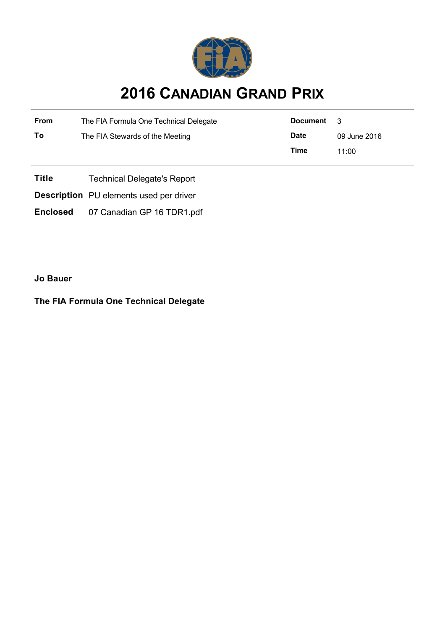

## **2016 CANADIAN GRAND PRIX**

| From | The FIA Formula One Technical Delegate | Document    | $\mathcal{R}$ |
|------|----------------------------------------|-------------|---------------|
| To   | The FIA Stewards of the Meeting        | <b>Date</b> | 09 June 2016  |
|      |                                        | Time        | 11:00         |
|      |                                        |             |               |

**Title** Technical Delegate's Report

**Description** PU elements used per driver

**Enclosed** 07 Canadian GP 16 TDR1.pdf

**Jo Bauer**

**The FIA Formula One Technical Delegate**